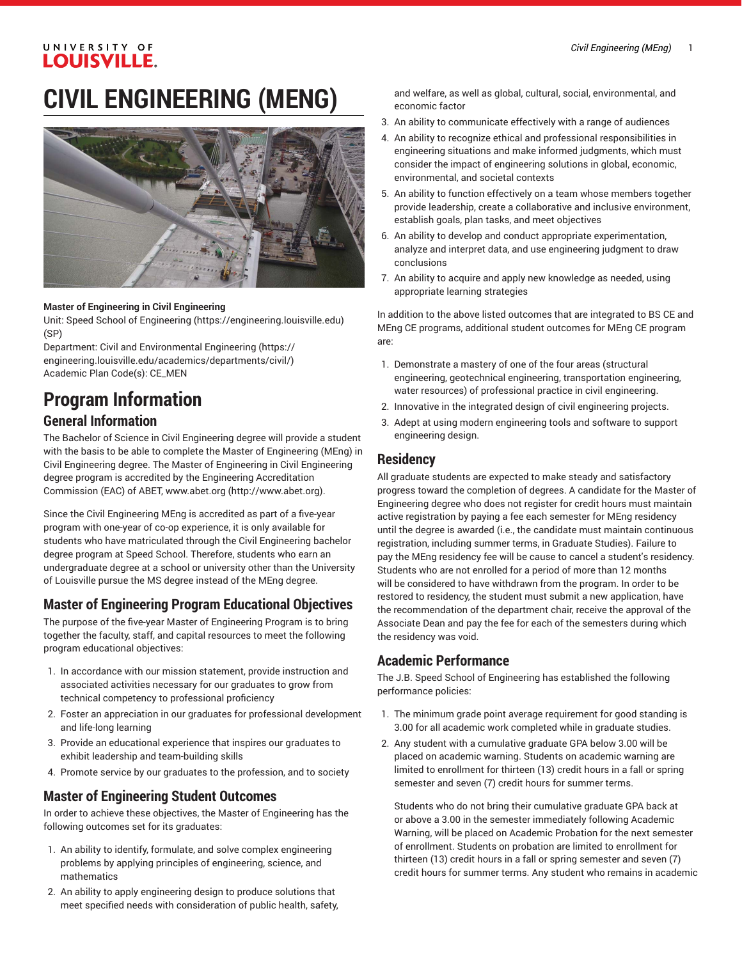#### UNIVERSITY OF **LOUISVILLE.**

# **CIVIL ENGINEERING (MENG)**



#### **Master of Engineering in Civil Engineering**

Unit: [Speed School of Engineering](https://engineering.louisville.edu) (<https://engineering.louisville.edu>) (SP)

Department: Civil and [Environmental](https://engineering.louisville.edu/academics/departments/civil/) Engineering [\(https://](https://engineering.louisville.edu/academics/departments/civil/) [engineering.louisville.edu/academics/departments/civil/](https://engineering.louisville.edu/academics/departments/civil/)) Academic Plan Code(s): CE\_MEN

# **Program Information General Information**

The Bachelor of Science in Civil Engineering degree will provide a student with the basis to be able to complete the Master of Engineering (MEng) in Civil Engineering degree. The Master of Engineering in Civil Engineering degree program is accredited by the Engineering Accreditation Commission (EAC) of ABET, [www.abet.org](http://www.abet.org) ([http://www.abet.org\)](http://www.abet.org).

Since the Civil Engineering MEng is accredited as part of a five-year program with one-year of co-op experience, it is only available for students who have matriculated through the Civil Engineering bachelor degree program at Speed School. Therefore, students who earn an undergraduate degree at a school or university other than the University of Louisville pursue the MS degree instead of the MEng degree.

## **Master of Engineering Program Educational Objectives**

The purpose of the five-year Master of Engineering Program is to bring together the faculty, staff, and capital resources to meet the following program educational objectives:

- 1. In accordance with our mission statement, provide instruction and associated activities necessary for our graduates to grow from technical competency to professional proficiency
- 2. Foster an appreciation in our graduates for professional development and life-long learning
- 3. Provide an educational experience that inspires our graduates to exhibit leadership and team-building skills
- 4. Promote service by our graduates to the profession, and to society

#### **Master of Engineering Student Outcomes**

In order to achieve these objectives, the Master of Engineering has the following outcomes set for its graduates:

- 1. An ability to identify, formulate, and solve complex engineering problems by applying principles of engineering, science, and mathematics
- 2. An ability to apply engineering design to produce solutions that meet specified needs with consideration of public health, safety,

and welfare, as well as global, cultural, social, environmental, and economic factor

- 3. An ability to communicate effectively with a range of audiences
- 4. An ability to recognize ethical and professional responsibilities in engineering situations and make informed judgments, which must consider the impact of engineering solutions in global, economic, environmental, and societal contexts
- 5. An ability to function effectively on a team whose members together provide leadership, create a collaborative and inclusive environment, establish goals, plan tasks, and meet objectives
- 6. An ability to develop and conduct appropriate experimentation, analyze and interpret data, and use engineering judgment to draw conclusions
- 7. An ability to acquire and apply new knowledge as needed, using appropriate learning strategies

In addition to the above listed outcomes that are integrated to BS CE and MEng CE programs, additional student outcomes for MEng CE program are:

- 1. Demonstrate a mastery of one of the four areas (structural engineering, geotechnical engineering, transportation engineering, water resources) of professional practice in civil engineering.
- 2. Innovative in the integrated design of civil engineering projects.
- 3. Adept at using modern engineering tools and software to support engineering design.

#### **Residency**

All graduate students are expected to make steady and satisfactory progress toward the completion of degrees. A candidate for the Master of Engineering degree who does not register for credit hours must maintain active registration by paying a fee each semester for MEng residency until the degree is awarded (i.e., the candidate must maintain continuous registration, including summer terms, in Graduate Studies). Failure to pay the MEng residency fee will be cause to cancel a student's residency. Students who are not enrolled for a period of more than 12 months will be considered to have withdrawn from the program. In order to be restored to residency, the student must submit a new application, have the recommendation of the department chair, receive the approval of the Associate Dean and pay the fee for each of the semesters during which the residency was void.

#### **Academic Performance**

The J.B. Speed School of Engineering has established the following performance policies:

- 1. The minimum grade point average requirement for good standing is 3.00 for all academic work completed while in graduate studies.
- 2. Any student with a cumulative graduate GPA below 3.00 will be placed on academic warning. Students on academic warning are limited to enrollment for thirteen (13) credit hours in a fall or spring semester and seven (7) credit hours for summer terms.

Students who do not bring their cumulative graduate GPA back at or above a 3.00 in the semester immediately following Academic Warning, will be placed on Academic Probation for the next semester of enrollment. Students on probation are limited to enrollment for thirteen (13) credit hours in a fall or spring semester and seven (7) credit hours for summer terms. Any student who remains in academic